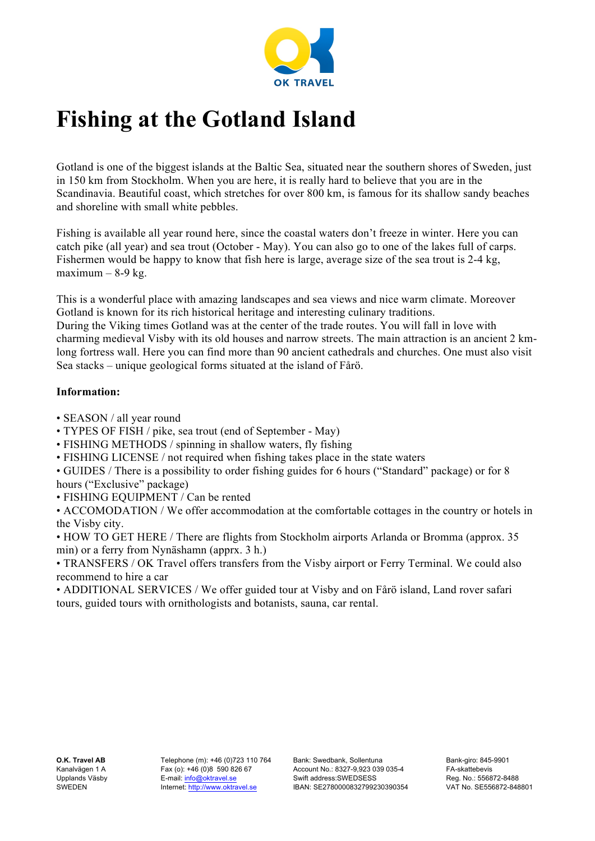

# **Fishing at the Gotland Island**

Gotland is one of the biggest islands at the Baltic Sea, situated near the southern shores of Sweden, just in 150 km from Stockholm. When you are here, it is really hard to believe that you are in the Scandinavia. Beautiful coast, which stretches for over 800 km, is famous for its shallow sandy beaches and shoreline with small white pebbles.

Fishing is available all year round here, since the coastal waters don't freeze in winter. Here you can catch pike (all year) and sea trout (October - May). You can also go to one of the lakes full of carps. Fishermen would be happy to know that fish here is large, average size of the sea trout is 2-4 kg, maximum  $-8-9$  kg.

This is a wonderful place with amazing landscapes and sea views and nice warm climate. Moreover Gotland is known for its rich historical heritage and interesting culinary traditions. During the Viking times Gotland was at the center of the trade routes. You will fall in love with charming medieval Visby with its old houses and narrow streets. The main attraction is an ancient 2 kmlong fortress wall. Here you can find more than 90 ancient cathedrals and churches. One must also visit Sea stacks – unique geological forms situated at the island of Fårö.

#### **Information:**

- SEASON / all year round
- TYPES OF FISH / pike, sea trout (end of September May)
- FISHING METHODS / spinning in shallow waters, fly fishing
- FISHING LICENSE / not required when fishing takes place in the state waters
- GUIDES / There is a possibility to order fishing guides for 6 hours ("Standard" package) or for 8 hours ("Exclusive" package)
- FISHING EQUIPMENT / Can be rented

• ACCOMODATION / We offer accommodation at the comfortable cottages in the country or hotels in the Visby city.

• HOW TO GET HERE / There are flights from Stockholm airports Arlanda or Bromma (approx. 35 min) or a ferry from Nynäshamn (apprx. 3 h.)

• TRANSFERS / OK Travel offers transfers from the Visby airport or Ferry Terminal. We could also recommend to hire a car

• ADDITIONAL SERVICES / We offer guided tour at Visby and on Fårö island, Land rover safari tours, guided tours with ornithologists and botanists, sauna, car rental.

Telephone (m): +46 (0)723 110 764 Fax (o): +46 (0)8 590 826 67 E-mail: info@oktravel.se Internet: http://www.oktravel.se

Bank: Swedbank, Sollentuna Account No.: 8327-9,923 039 035-4 Swift address:SWEDSESS IBAN: SE2780000832799230390354 Bank-giro: 845-9901 FA-skattebevis Reg. No.: 556872-8488 VAT No. SE556872-848801